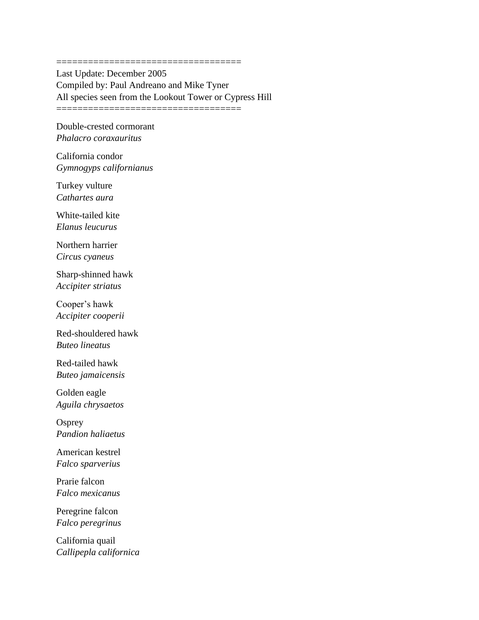Last Update: December 2005 Compiled by: Paul Andreano and Mike Tyner All species seen from the Lookout Tower or Cypress Hill ===================================

===================================

Double-crested cormorant *Phalacro coraxauritus*

California condor *Gymnogyps californianus*

Turkey vulture *Cathartes aura*

White-tailed kite *Elanus leucurus*

Northern harrier *Circus cyaneus*

Sharp-shinned hawk *Accipiter striatus*

Cooper's hawk *Accipiter cooperii*

Red-shouldered hawk *Buteo lineatus*

Red-tailed hawk *Buteo jamaicensis*

Golden eagle *Aguila chrysaetos*

**Osprey** *Pandion haliaetus*

American kestrel *Falco sparverius*

Prarie falcon *Falco mexicanus*

Peregrine falcon *Falco peregrinus*

California quail *Callipepla californica*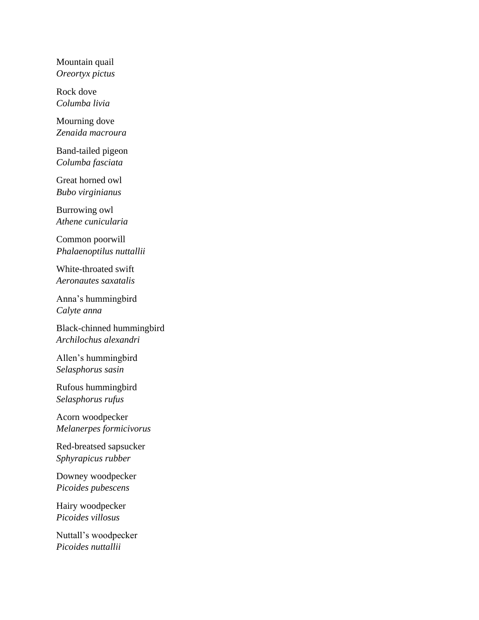Mountain quail *Oreortyx pictus*

Rock dove *Columba livia*

Mourning dove *Zenaida macroura*

Band-tailed pigeon *Columba fasciata*

Great horned owl *Bubo virginianus*

Burrowing owl *Athene cunicularia*

Common poorwill *Phalaenoptilus nuttallii*

White-throated swift *Aeronautes saxatalis*

Anna's hummingbird *Calyte anna*

Black-chinned hummingbird *Archilochus alexandri*

Allen's hummingbird *Selasphorus sasin*

Rufous hummingbird *Selasphorus rufus*

Acorn woodpecker *Melanerpes formicivorus*

Red-breatsed sapsucker *Sphyrapicus rubber*

Downey woodpecker *Picoides pubescens*

Hairy woodpecker *Picoides villosus*

Nuttall's woodpecker *Picoides nuttallii*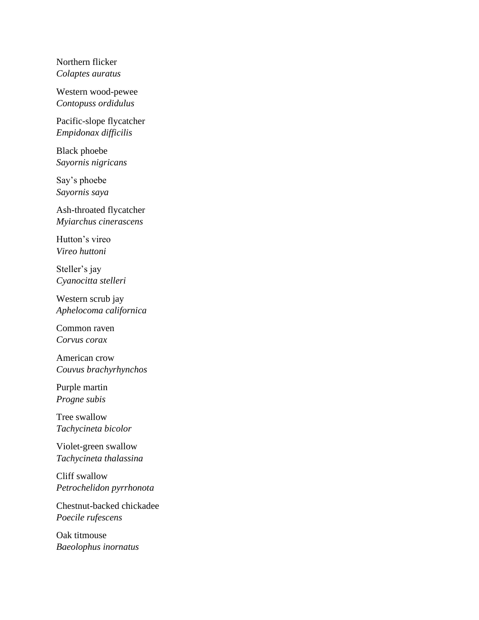Northern flicker *Colaptes auratus*

Western wood-pewee *Contopuss ordidulus*

Pacific-slope flycatcher *Empidonax difficilis*

Black phoebe *Sayornis nigricans*

Say's phoebe *Sayornis saya*

Ash-throated flycatcher *Myiarchus cinerascens*

Hutton's vireo *Vireo huttoni*

Steller's jay *Cyanocitta stelleri*

Western scrub jay *Aphelocoma californica*

Common raven *Corvus corax*

American crow *Couvus brachyrhynchos*

Purple martin *Progne subis*

Tree swallow *Tachycineta bicolor*

Violet-green swallow *Tachycineta thalassina*

Cliff swallow *Petrochelidon pyrrhonota*

Chestnut-backed chickadee *Poecile rufescens*

Oak titmouse *Baeolophus inornatus*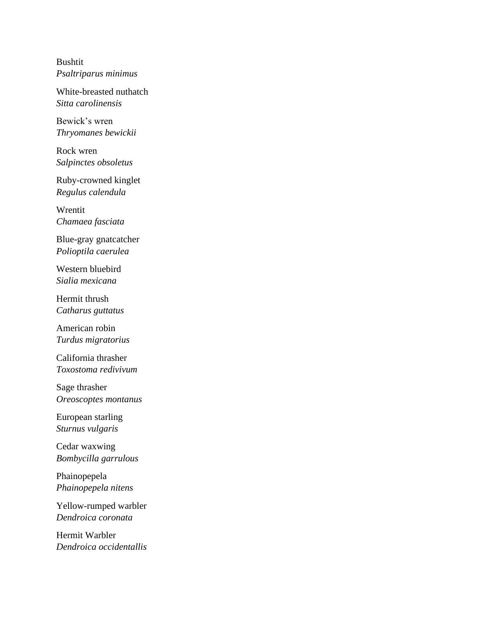Bushtit *Psaltriparus minimus*

White-breasted nuthatch *Sitta carolinensis*

Bewick's wren *Thryomanes bewickii*

Rock wren *Salpinctes obsoletus*

Ruby-crowned kinglet *Regulus calendula*

Wrentit *Chamaea fasciata*

Blue-gray gnatcatcher *Polioptila caerulea*

Western bluebird *Sialia mexicana*

Hermit thrush *Catharus guttatus*

American robin *Turdus migratorius*

California thrasher *Toxostoma redivivum*

Sage thrasher *Oreoscoptes montanus*

European starling *Sturnus vulgaris*

Cedar waxwing *Bombycilla garrulous*

Phainopepela *Phainopepela nitens*

Yellow-rumped warbler *Dendroica coronata*

Hermit Warbler *Dendroica occidentallis*